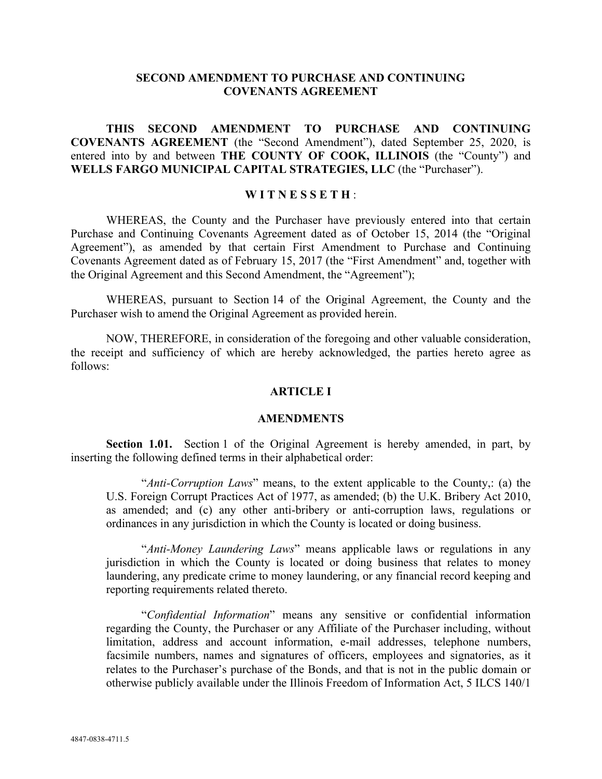# **SECOND AMENDMENT TO PURCHASE AND CONTINUING COVENANTS AGREEMENT**

# **THIS SECOND AMENDMENT TO PURCHASE AND CONTINUING COVENANTS AGREEMENT** (the "Second Amendment"), dated September 25, 2020, is entered into by and between **THE COUNTY OF COOK, ILLINOIS** (the "County") and **WELLS FARGO MUNICIPAL CAPITAL STRATEGIES, LLC** (the "Purchaser").

### **W I T N E S S E T H** :

WHEREAS, the County and the Purchaser have previously entered into that certain Purchase and Continuing Covenants Agreement dated as of October 15, 2014 (the "Original Agreement"), as amended by that certain First Amendment to Purchase and Continuing Covenants Agreement dated as of February 15, 2017 (the "First Amendment" and, together with the Original Agreement and this Second Amendment, the "Agreement");

WHEREAS, pursuant to Section 14 of the Original Agreement, the County and the Purchaser wish to amend the Original Agreement as provided herein.

NOW, THEREFORE, in consideration of the foregoing and other valuable consideration, the receipt and sufficiency of which are hereby acknowledged, the parties hereto agree as follows:

# **ARTICLE I**

#### **AMENDMENTS**

**Section 1.01.** Section 1 of the Original Agreement is hereby amended, in part, by inserting the following defined terms in their alphabetical order:

"*Anti-Corruption Laws*" means, to the extent applicable to the County,: (a) the U.S. Foreign Corrupt Practices Act of 1977, as amended; (b) the U.K. Bribery Act 2010, as amended; and (c) any other anti-bribery or anti-corruption laws, regulations or ordinances in any jurisdiction in which the County is located or doing business.

"*Anti-Money Laundering Laws*" means applicable laws or regulations in any jurisdiction in which the County is located or doing business that relates to money laundering, any predicate crime to money laundering, or any financial record keeping and reporting requirements related thereto.

"*Confidential Information*" means any sensitive or confidential information regarding the County, the Purchaser or any Affiliate of the Purchaser including, without limitation, address and account information, e-mail addresses, telephone numbers, facsimile numbers, names and signatures of officers, employees and signatories, as it relates to the Purchaser's purchase of the Bonds, and that is not in the public domain or otherwise publicly available under the Illinois Freedom of Information Act, 5 ILCS 140/1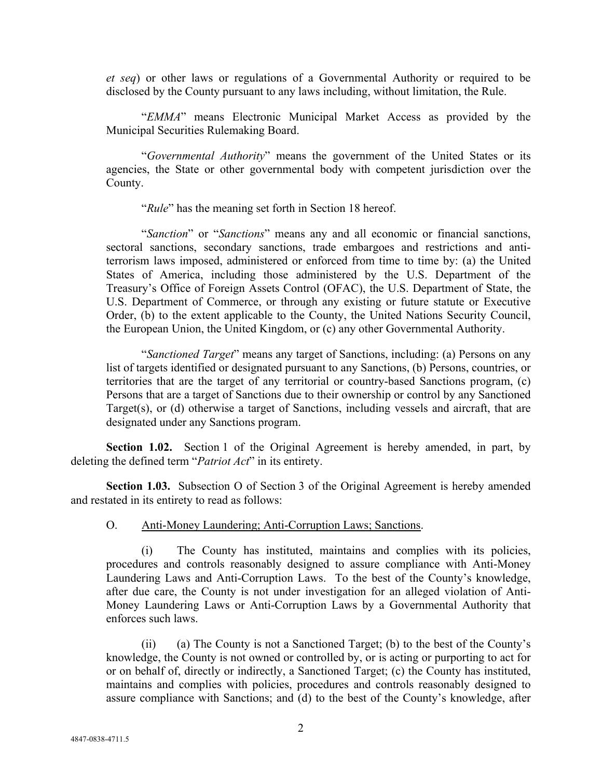*et seq*) or other laws or regulations of a Governmental Authority or required to be disclosed by the County pursuant to any laws including, without limitation, the Rule.

"*EMMA*" means Electronic Municipal Market Access as provided by the Municipal Securities Rulemaking Board.

"*Governmental Authority*" means the government of the United States or its agencies, the State or other governmental body with competent jurisdiction over the County.

"*Rule*" has the meaning set forth in Section 18 hereof.

"*Sanction*" or "*Sanctions*" means any and all economic or financial sanctions, sectoral sanctions, secondary sanctions, trade embargoes and restrictions and antiterrorism laws imposed, administered or enforced from time to time by: (a) the United States of America, including those administered by the U.S. Department of the Treasury's Office of Foreign Assets Control (OFAC), the U.S. Department of State, the U.S. Department of Commerce, or through any existing or future statute or Executive Order, (b) to the extent applicable to the County, the United Nations Security Council, the European Union, the United Kingdom, or (c) any other Governmental Authority.

"*Sanctioned Target*" means any target of Sanctions, including: (a) Persons on any list of targets identified or designated pursuant to any Sanctions, (b) Persons, countries, or territories that are the target of any territorial or country-based Sanctions program, (c) Persons that are a target of Sanctions due to their ownership or control by any Sanctioned Target(s), or (d) otherwise a target of Sanctions, including vessels and aircraft, that are designated under any Sanctions program.

 **Section 1.02.** Section 1 of the Original Agreement is hereby amended, in part, by deleting the defined term "*Patriot Act*" in its entirety.

**Section 1.03.** Subsection O of Section 3 of the Original Agreement is hereby amended and restated in its entirety to read as follows:

#### O. Anti-Money Laundering; Anti-Corruption Laws; Sanctions.

(i) The County has instituted, maintains and complies with its policies, procedures and controls reasonably designed to assure compliance with Anti-Money Laundering Laws and Anti-Corruption Laws. To the best of the County's knowledge, after due care, the County is not under investigation for an alleged violation of Anti-Money Laundering Laws or Anti-Corruption Laws by a Governmental Authority that enforces such laws.

(ii) (a) The County is not a Sanctioned Target; (b) to the best of the County's knowledge, the County is not owned or controlled by, or is acting or purporting to act for or on behalf of, directly or indirectly, a Sanctioned Target; (c) the County has instituted, maintains and complies with policies, procedures and controls reasonably designed to assure compliance with Sanctions; and (d) to the best of the County's knowledge, after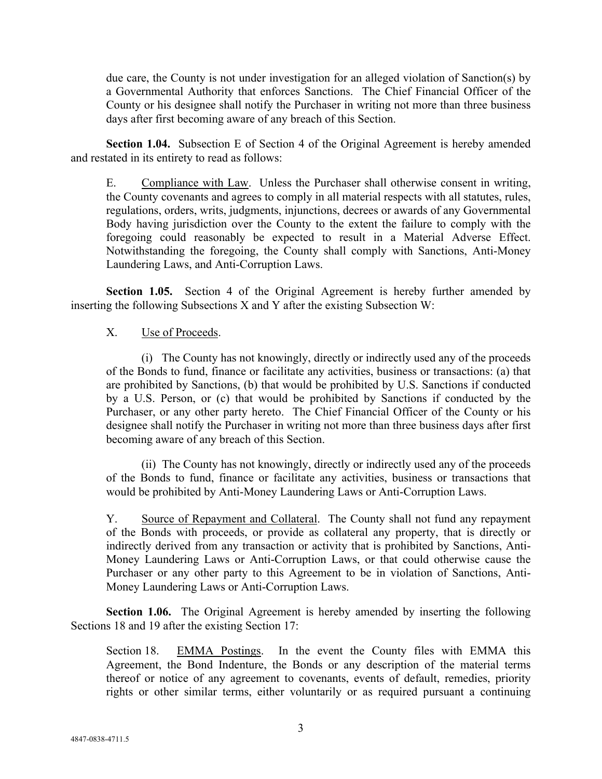due care, the County is not under investigation for an alleged violation of Sanction(s) by a Governmental Authority that enforces Sanctions. The Chief Financial Officer of the County or his designee shall notify the Purchaser in writing not more than three business days after first becoming aware of any breach of this Section.

**Section 1.04.** Subsection E of Section 4 of the Original Agreement is hereby amended and restated in its entirety to read as follows:

E. Compliance with Law. Unless the Purchaser shall otherwise consent in writing, the County covenants and agrees to comply in all material respects with all statutes, rules, regulations, orders, writs, judgments, injunctions, decrees or awards of any Governmental Body having jurisdiction over the County to the extent the failure to comply with the foregoing could reasonably be expected to result in a Material Adverse Effect. Notwithstanding the foregoing, the County shall comply with Sanctions, Anti-Money Laundering Laws, and Anti-Corruption Laws.

**Section 1.05.** Section 4 of the Original Agreement is hereby further amended by inserting the following Subsections X and Y after the existing Subsection W:

### X. Use of Proceeds.

(i) The County has not knowingly, directly or indirectly used any of the proceeds of the Bonds to fund, finance or facilitate any activities, business or transactions: (a) that are prohibited by Sanctions, (b) that would be prohibited by U.S. Sanctions if conducted by a U.S. Person, or (c) that would be prohibited by Sanctions if conducted by the Purchaser, or any other party hereto. The Chief Financial Officer of the County or his designee shall notify the Purchaser in writing not more than three business days after first becoming aware of any breach of this Section.

(ii) The County has not knowingly, directly or indirectly used any of the proceeds of the Bonds to fund, finance or facilitate any activities, business or transactions that would be prohibited by Anti-Money Laundering Laws or Anti-Corruption Laws.

Y. Source of Repayment and Collateral. The County shall not fund any repayment of the Bonds with proceeds, or provide as collateral any property, that is directly or indirectly derived from any transaction or activity that is prohibited by Sanctions, Anti-Money Laundering Laws or Anti-Corruption Laws, or that could otherwise cause the Purchaser or any other party to this Agreement to be in violation of Sanctions, Anti-Money Laundering Laws or Anti-Corruption Laws.

**Section 1.06.** The Original Agreement is hereby amended by inserting the following Sections 18 and 19 after the existing Section 17:

Section 18. EMMA Postings. In the event the County files with EMMA this Agreement, the Bond Indenture, the Bonds or any description of the material terms thereof or notice of any agreement to covenants, events of default, remedies, priority rights or other similar terms, either voluntarily or as required pursuant a continuing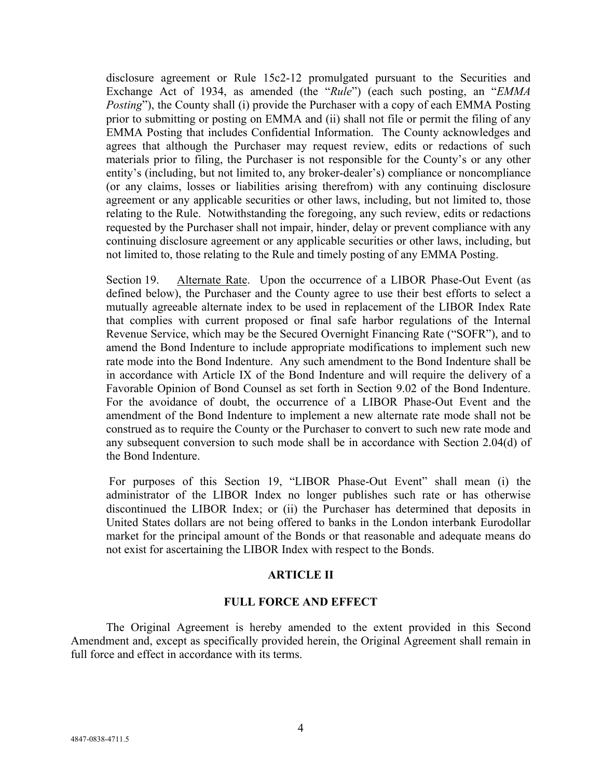disclosure agreement or Rule 15c2-12 promulgated pursuant to the Securities and Exchange Act of 1934, as amended (the "*Rule*") (each such posting, an "*EMMA Posting*"), the County shall (i) provide the Purchaser with a copy of each EMMA Posting prior to submitting or posting on EMMA and (ii) shall not file or permit the filing of any EMMA Posting that includes Confidential Information. The County acknowledges and agrees that although the Purchaser may request review, edits or redactions of such materials prior to filing, the Purchaser is not responsible for the County's or any other entity's (including, but not limited to, any broker-dealer's) compliance or noncompliance (or any claims, losses or liabilities arising therefrom) with any continuing disclosure agreement or any applicable securities or other laws, including, but not limited to, those relating to the Rule. Notwithstanding the foregoing, any such review, edits or redactions requested by the Purchaser shall not impair, hinder, delay or prevent compliance with any continuing disclosure agreement or any applicable securities or other laws, including, but not limited to, those relating to the Rule and timely posting of any EMMA Posting.

Section 19. Alternate Rate. Upon the occurrence of a LIBOR Phase-Out Event (as defined below), the Purchaser and the County agree to use their best efforts to select a mutually agreeable alternate index to be used in replacement of the LIBOR Index Rate that complies with current proposed or final safe harbor regulations of the Internal Revenue Service, which may be the Secured Overnight Financing Rate ("SOFR"), and to amend the Bond Indenture to include appropriate modifications to implement such new rate mode into the Bond Indenture. Any such amendment to the Bond Indenture shall be in accordance with Article IX of the Bond Indenture and will require the delivery of a Favorable Opinion of Bond Counsel as set forth in Section 9.02 of the Bond Indenture. For the avoidance of doubt, the occurrence of a LIBOR Phase-Out Event and the amendment of the Bond Indenture to implement a new alternate rate mode shall not be construed as to require the County or the Purchaser to convert to such new rate mode and any subsequent conversion to such mode shall be in accordance with Section 2.04(d) of the Bond Indenture.

 For purposes of this Section 19, "LIBOR Phase-Out Event" shall mean (i) the administrator of the LIBOR Index no longer publishes such rate or has otherwise discontinued the LIBOR Index; or (ii) the Purchaser has determined that deposits in United States dollars are not being offered to banks in the London interbank Eurodollar market for the principal amount of the Bonds or that reasonable and adequate means do not exist for ascertaining the LIBOR Index with respect to the Bonds.

### **ARTICLE II**

### **FULL FORCE AND EFFECT**

The Original Agreement is hereby amended to the extent provided in this Second Amendment and, except as specifically provided herein, the Original Agreement shall remain in full force and effect in accordance with its terms.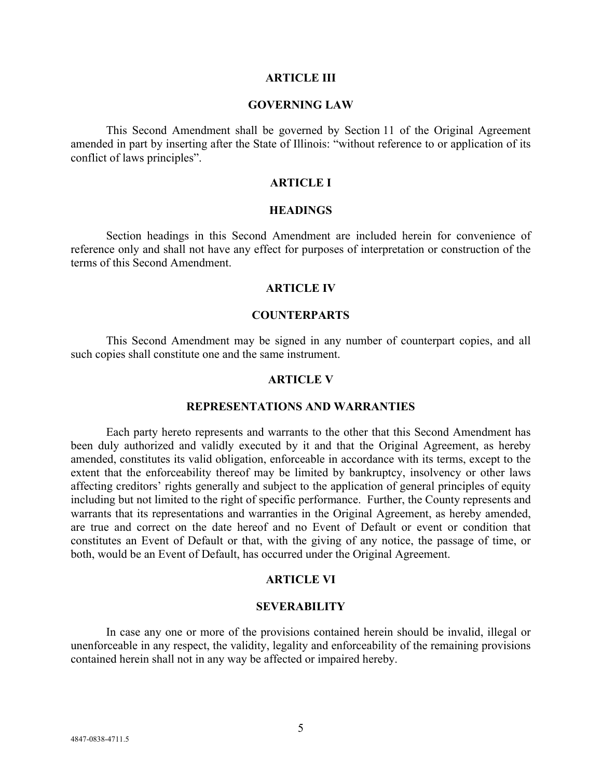#### **ARTICLE III**

#### **GOVERNING LAW**

This Second Amendment shall be governed by Section 11 of the Original Agreement amended in part by inserting after the State of Illinois: "without reference to or application of its conflict of laws principles".

#### **ARTICLE I**

#### **HEADINGS**

Section headings in this Second Amendment are included herein for convenience of reference only and shall not have any effect for purposes of interpretation or construction of the terms of this Second Amendment.

#### **ARTICLE IV**

### **COUNTERPARTS**

This Second Amendment may be signed in any number of counterpart copies, and all such copies shall constitute one and the same instrument.

#### **ARTICLE V**

#### **REPRESENTATIONS AND WARRANTIES**

Each party hereto represents and warrants to the other that this Second Amendment has been duly authorized and validly executed by it and that the Original Agreement, as hereby amended, constitutes its valid obligation, enforceable in accordance with its terms, except to the extent that the enforceability thereof may be limited by bankruptcy, insolvency or other laws affecting creditors' rights generally and subject to the application of general principles of equity including but not limited to the right of specific performance. Further, the County represents and warrants that its representations and warranties in the Original Agreement, as hereby amended, are true and correct on the date hereof and no Event of Default or event or condition that constitutes an Event of Default or that, with the giving of any notice, the passage of time, or both, would be an Event of Default, has occurred under the Original Agreement.

#### **ARTICLE VI**

#### **SEVERABILITY**

In case any one or more of the provisions contained herein should be invalid, illegal or unenforceable in any respect, the validity, legality and enforceability of the remaining provisions contained herein shall not in any way be affected or impaired hereby.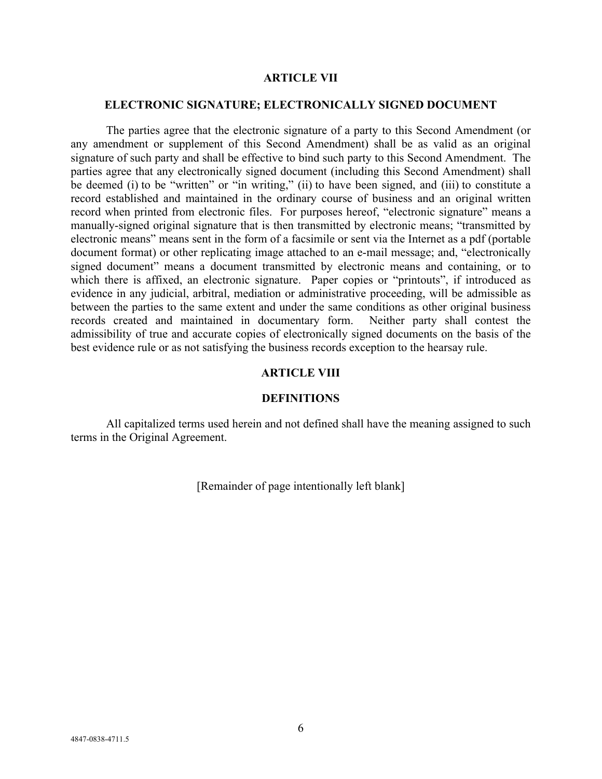#### **ARTICLE VII**

### **ELECTRONIC SIGNATURE; ELECTRONICALLY SIGNED DOCUMENT**

The parties agree that the electronic signature of a party to this Second Amendment (or any amendment or supplement of this Second Amendment) shall be as valid as an original signature of such party and shall be effective to bind such party to this Second Amendment. The parties agree that any electronically signed document (including this Second Amendment) shall be deemed (i) to be "written" or "in writing," (ii) to have been signed, and (iii) to constitute a record established and maintained in the ordinary course of business and an original written record when printed from electronic files. For purposes hereof, "electronic signature" means a manually-signed original signature that is then transmitted by electronic means; "transmitted by electronic means" means sent in the form of a facsimile or sent via the Internet as a pdf (portable document format) or other replicating image attached to an e-mail message; and, "electronically signed document" means a document transmitted by electronic means and containing, or to which there is affixed, an electronic signature. Paper copies or "printouts", if introduced as evidence in any judicial, arbitral, mediation or administrative proceeding, will be admissible as between the parties to the same extent and under the same conditions as other original business records created and maintained in documentary form. Neither party shall contest the admissibility of true and accurate copies of electronically signed documents on the basis of the best evidence rule or as not satisfying the business records exception to the hearsay rule.

# **ARTICLE VIII**

#### **DEFINITIONS**

All capitalized terms used herein and not defined shall have the meaning assigned to such terms in the Original Agreement.

[Remainder of page intentionally left blank]